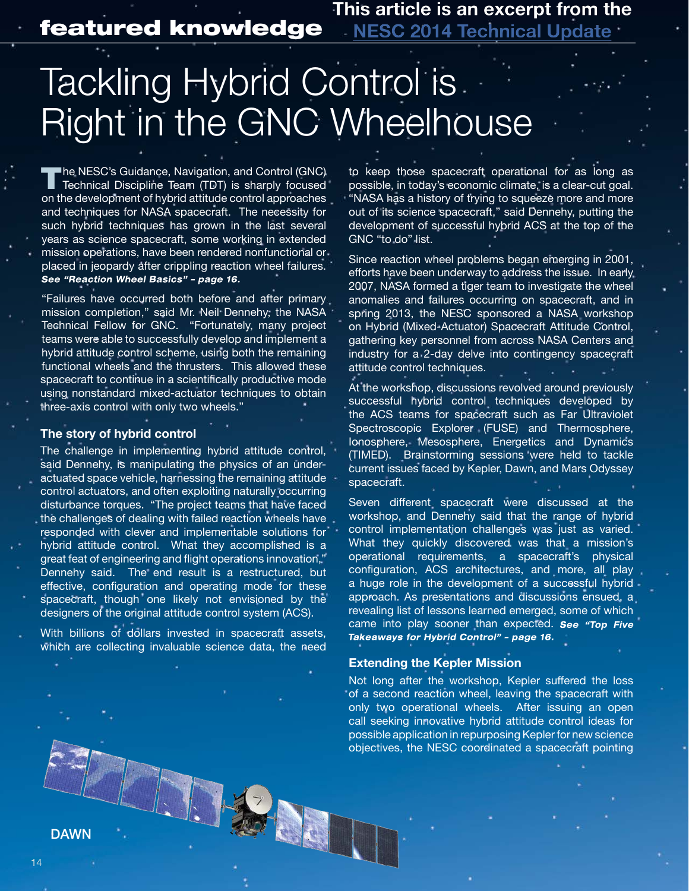This article is an excerpt from the featured knowledge NESC 2014 Technical Update

# Tackling Hybrid Control is Right in the GNC Wheelhouse

The NESC's Guidance, Navigation, and Control (GNC)<br>Technical Discipline Team (TDT) is sharply focused on the development of hybrid attitude control approaches and techniques for NASA spacecraft. The necessity for such hybrid techniques has grown in the last several years as science spacecraft, some working in extended mission operations, have been rendered nonfunctional or placed in jeopardy after crippling reaction wheel failures.<br>See "Reaction Wheel Basics" - page 16.

"Failures have occurred both before and after primary mission completion," said Mr. Neil Dennehy, the NASA Technical Fellow for GNC. "Fortunately, many project teams were able to successfully develop and implement a hybrid attitude control scheme, using both the remaining functional wheels and the thrusters. This allowed these spacecraft to continue in a scientifically productive mode using nonstandard mixed-actuator techniques to obtain three-axis control with only two wheels."

### **The story of hybrid control**

The challenge in implementing hybrid attitude control, said Dennehy, is manipulating the physics of an underactuated space vehicle, harnessing the remaining attitude control actuators, and often exploiting naturally occurring disturbance torques. "The project teams that have faced the challenges of dealing with failed reaction wheels have responded with clever and implementable solutions for hybrid attitude control. What they accomplished is a great feat of engineering and flight operations innovation, Dennehy said. The end result is a restructured, but effective, configuration and operating mode for these spacecraft, though one likely not envisioned by the designers of the original attitude control system (ACS).

With billions of dollars invested in spacecraft assets, which are collecting invaluable science data, the need

LUIS

to keep those spacecraft operational for as long as possible, in today's economic climate, is a clear-cut goal. "NASA has a history of trying to squeeze more and more out of its science spacecraft," said Dennehy, putting the development of successful hybrid ACS at the top of the GNC "to do" list.

Since reaction wheel problems began emerging in 2001, efforts have been underway to address the issue. In early 2007, NASA formed a tiger team to investigate the wheel anomalies and failures occurring on spacecraft, and in spring 2013, the NESC sponsored a NASA workshop on Hybrid (Mixed-Actuator) Spacecraft Attitude Control, gathering key personnel from across NASA Centers and industry for a 2-day delve into contingency spacecraft attitude control techniques.

At the workshop, discussions revolved around previously successful hybrid control techniques developed by the ACS teams for spacecraft such as Far Ultraviolet Spectroscopic Explorer (FUSE) and Thermosphere, Ionosphere, Mesosphere, Energetics and Dynamics (TIMED). Brainstorming sessions were held to tackle current issues faced by Kepler, Dawn, and Mars Odyssey spacecraft.

Seven different spacecraft were discussed at the workshop, and Dennehy said that the range of hybrid control implementation challenges was just as varied. What they quickly discovered was that a mission's operational requirements, a spacecraft's physical configuration, ACS architectures, and more, all play a huge role in the development of a successful hybrid approach. As presentations and discussions ensued, a revealing list of lessons learned emerged, some of which came into play sooner than expected. See "Top Five Takeaways for Hybrid Control" - page 16.

#### **Extending the Kepler Mission**

Not long after the workshop, Kepler suffered the loss of a second reaction wheel, leaving the spacecraft with only two operational wheels. After issuing an open call seeking innovative hybrid attitude control ideas for possible application in repurposing Kepler for new science objectives, the NESC coordinated a spacecraft pointing

14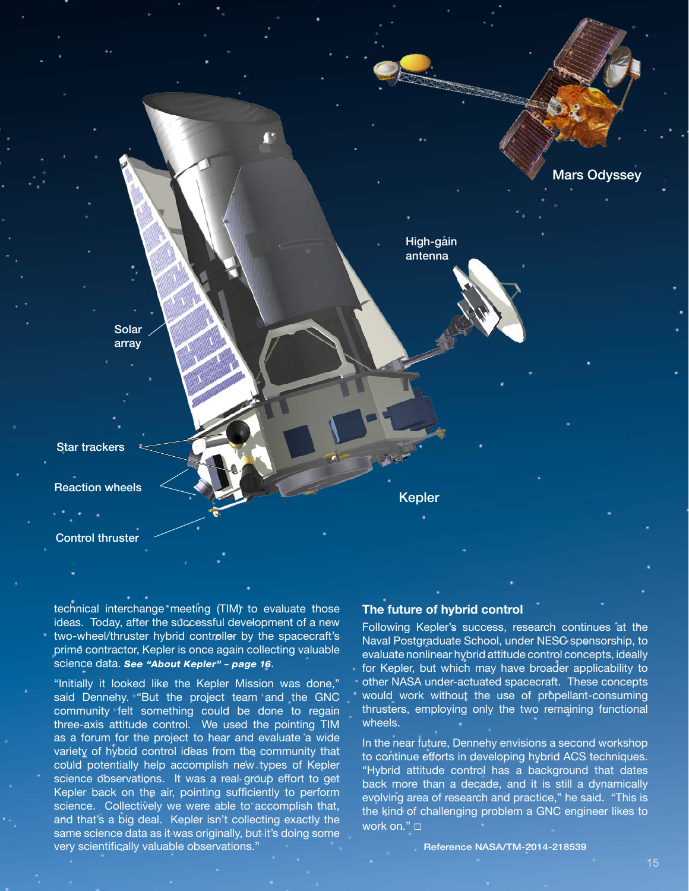

technical interchange meeting (TIM) to evaluate those ideas. Today, after the successful development of a new two-wheel/thruster hybrid controller by the spacecraft's prime contractor, Kepler is once again collecting valuable science data. See "About Kepler" - page 16.

"Initially it looked like the Kepler Mission was done," said Dennehy. "But the project team and the GNC community felt something could be done to regain three-axis attitude control. We used the pointing TIM as a forum for the project to hear and evaluate a wide variety of hybrid control ideas from the community that could potentially help accomplish new types of Kepler science observations. It was a real group effort to get Kepler back on the air, pointing sufficiently to perform science. Collectively we were able to accomplish that, and that's a big deal. Kepler isn't collecting exactly the same science data as it was originally, but it's doing some very scientifically valuable observations."

## **The future of hybrid control**

Following Kepler's success, research continues at the Naval Postgraduate School, under NESC sponsorship, to evaluate nonlinear hybrid attitude control concepts, ideally for Kepler, but which may have broader applicability to other NASA under-actuated spacecraft. These concepts would work without the use of propellant-consuming thrusters, employing only the two remaining functional wheels.

In the near future, Dennehy envisions a second workshop to continue efforts in developing hybrid ACS techniques. "Hybrid attitude control has a background that dates back more than a decade, and it is still a dynamically evolving area of research and practice," he said. "This is the kind of challenging problem a GNC engineer likes to work on." □

Reference NASA/TM-2014-218539